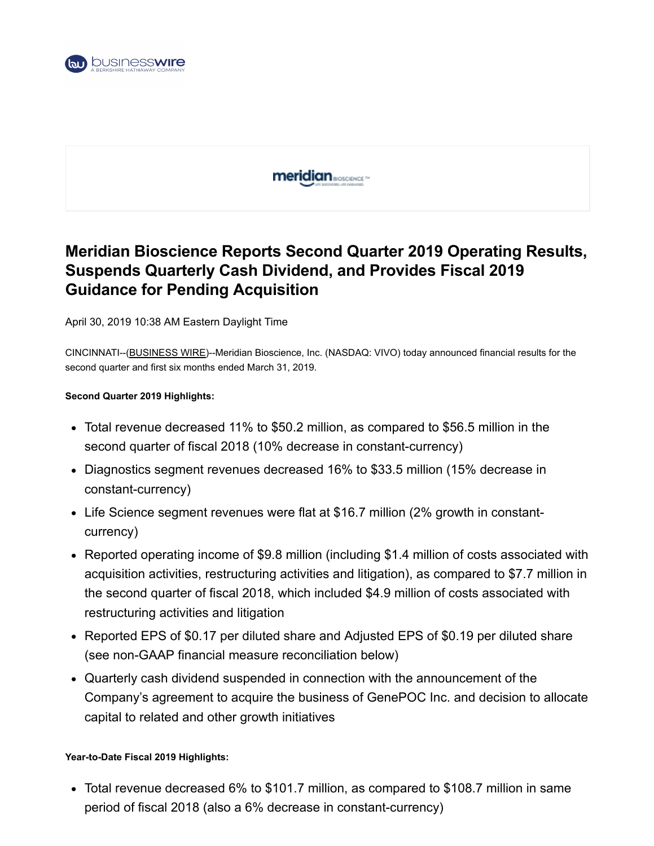



# **Meridian Bioscience Reports Second Quarter 2019 Operating Results, Suspends Quarterly Cash Dividend, and Provides Fiscal 2019 Guidance for Pending Acquisition**

April 30, 2019 10:38 AM Eastern Daylight Time

CINCINNATI--([BUSINESS WIRE](https://www.businesswire.com/))--Meridian Bioscience, Inc. (NASDAQ: VIVO) today announced financial results for the second quarter and first six months ended March 31, 2019.

### **Second Quarter 2019 Highlights:**

- Total revenue decreased 11% to \$50.2 million, as compared to \$56.5 million in the second quarter of fiscal 2018 (10% decrease in constant-currency)
- Diagnostics segment revenues decreased 16% to \$33.5 million (15% decrease in constant-currency)
- Life Science segment revenues were flat at \$16.7 million (2% growth in constantcurrency)
- Reported operating income of \$9.8 million (including \$1.4 million of costs associated with acquisition activities, restructuring activities and litigation), as compared to \$7.7 million in the second quarter of fiscal 2018, which included \$4.9 million of costs associated with restructuring activities and litigation
- Reported EPS of \$0.17 per diluted share and Adjusted EPS of \$0.19 per diluted share (see non-GAAP financial measure reconciliation below)
- Quarterly cash dividend suspended in connection with the announcement of the Company's agreement to acquire the business of GenePOC Inc. and decision to allocate capital to related and other growth initiatives

### **Year-to-Date Fiscal 2019 Highlights:**

Total revenue decreased 6% to \$101.7 million, as compared to \$108.7 million in same period of fiscal 2018 (also a 6% decrease in constant-currency)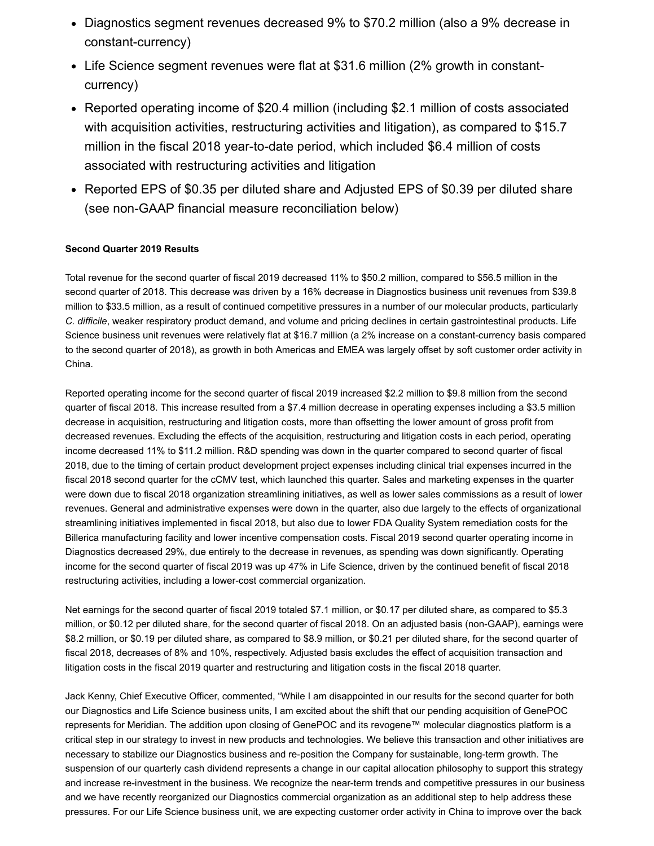- Diagnostics segment revenues decreased 9% to \$70.2 million (also a 9% decrease in constant-currency)
- Life Science segment revenues were flat at \$31.6 million (2% growth in constantcurrency)
- Reported operating income of \$20.4 million (including \$2.1 million of costs associated with acquisition activities, restructuring activities and litigation), as compared to \$15.7 million in the fiscal 2018 year-to-date period, which included \$6.4 million of costs associated with restructuring activities and litigation
- Reported EPS of \$0.35 per diluted share and Adjusted EPS of \$0.39 per diluted share (see non-GAAP financial measure reconciliation below)

### **Second Quarter 2019 Results**

Total revenue for the second quarter of fiscal 2019 decreased 11% to \$50.2 million, compared to \$56.5 million in the second quarter of 2018. This decrease was driven by a 16% decrease in Diagnostics business unit revenues from \$39.8 million to \$33.5 million, as a result of continued competitive pressures in a number of our molecular products, particularly *C. difficile*, weaker respiratory product demand, and volume and pricing declines in certain gastrointestinal products. Life Science business unit revenues were relatively flat at \$16.7 million (a 2% increase on a constant-currency basis compared to the second quarter of 2018), as growth in both Americas and EMEA was largely offset by soft customer order activity in China.

Reported operating income for the second quarter of fiscal 2019 increased \$2.2 million to \$9.8 million from the second quarter of fiscal 2018. This increase resulted from a \$7.4 million decrease in operating expenses including a \$3.5 million decrease in acquisition, restructuring and litigation costs, more than offsetting the lower amount of gross profit from decreased revenues. Excluding the effects of the acquisition, restructuring and litigation costs in each period, operating income decreased 11% to \$11.2 million. R&D spending was down in the quarter compared to second quarter of fiscal 2018, due to the timing of certain product development project expenses including clinical trial expenses incurred in the fiscal 2018 second quarter for the cCMV test, which launched this quarter. Sales and marketing expenses in the quarter were down due to fiscal 2018 organization streamlining initiatives, as well as lower sales commissions as a result of lower revenues. General and administrative expenses were down in the quarter, also due largely to the effects of organizational streamlining initiatives implemented in fiscal 2018, but also due to lower FDA Quality System remediation costs for the Billerica manufacturing facility and lower incentive compensation costs. Fiscal 2019 second quarter operating income in Diagnostics decreased 29%, due entirely to the decrease in revenues, as spending was down significantly. Operating income for the second quarter of fiscal 2019 was up 47% in Life Science, driven by the continued benefit of fiscal 2018 restructuring activities, including a lower-cost commercial organization.

Net earnings for the second quarter of fiscal 2019 totaled \$7.1 million, or \$0.17 per diluted share, as compared to \$5.3 million, or \$0.12 per diluted share, for the second quarter of fiscal 2018. On an adjusted basis (non-GAAP), earnings were \$8.2 million, or \$0.19 per diluted share, as compared to \$8.9 million, or \$0.21 per diluted share, for the second quarter of fiscal 2018, decreases of 8% and 10%, respectively. Adjusted basis excludes the effect of acquisition transaction and litigation costs in the fiscal 2019 quarter and restructuring and litigation costs in the fiscal 2018 quarter.

Jack Kenny, Chief Executive Officer, commented, "While I am disappointed in our results for the second quarter for both our Diagnostics and Life Science business units, I am excited about the shift that our pending acquisition of GenePOC represents for Meridian. The addition upon closing of GenePOC and its revogene™ molecular diagnostics platform is a critical step in our strategy to invest in new products and technologies. We believe this transaction and other initiatives are necessary to stabilize our Diagnostics business and re-position the Company for sustainable, long-term growth. The suspension of our quarterly cash dividend represents a change in our capital allocation philosophy to support this strategy and increase re-investment in the business. We recognize the near-term trends and competitive pressures in our business and we have recently reorganized our Diagnostics commercial organization as an additional step to help address these pressures. For our Life Science business unit, we are expecting customer order activity in China to improve over the back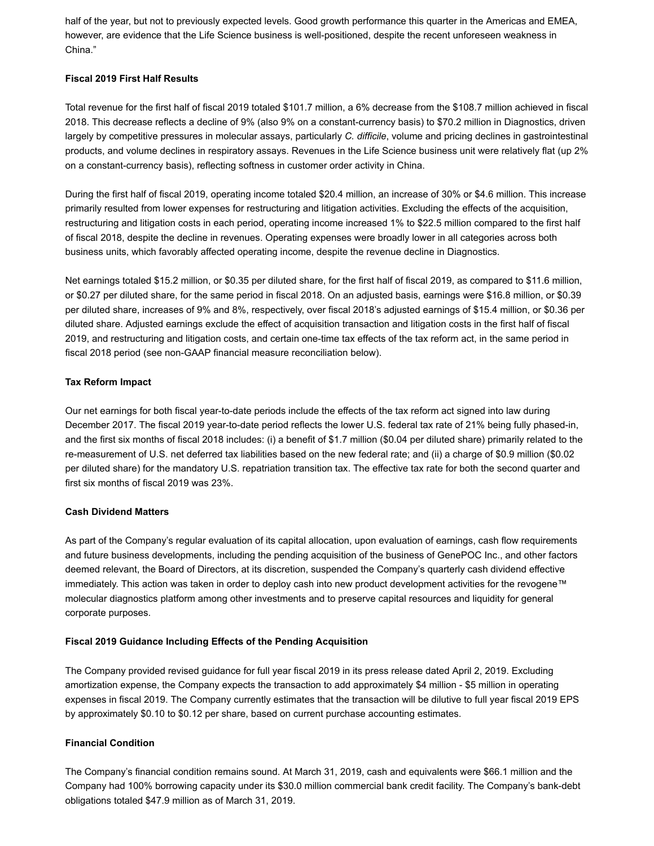half of the year, but not to previously expected levels. Good growth performance this quarter in the Americas and EMEA, however, are evidence that the Life Science business is well-positioned, despite the recent unforeseen weakness in China."

#### **Fiscal 2019 First Half Results**

Total revenue for the first half of fiscal 2019 totaled \$101.7 million, a 6% decrease from the \$108.7 million achieved in fiscal 2018. This decrease reflects a decline of 9% (also 9% on a constant-currency basis) to \$70.2 million in Diagnostics, driven largely by competitive pressures in molecular assays, particularly *C. difficile*, volume and pricing declines in gastrointestinal products, and volume declines in respiratory assays. Revenues in the Life Science business unit were relatively flat (up 2% on a constant-currency basis), reflecting softness in customer order activity in China.

During the first half of fiscal 2019, operating income totaled \$20.4 million, an increase of 30% or \$4.6 million. This increase primarily resulted from lower expenses for restructuring and litigation activities. Excluding the effects of the acquisition, restructuring and litigation costs in each period, operating income increased 1% to \$22.5 million compared to the first half of fiscal 2018, despite the decline in revenues. Operating expenses were broadly lower in all categories across both business units, which favorably affected operating income, despite the revenue decline in Diagnostics.

Net earnings totaled \$15.2 million, or \$0.35 per diluted share, for the first half of fiscal 2019, as compared to \$11.6 million, or \$0.27 per diluted share, for the same period in fiscal 2018. On an adjusted basis, earnings were \$16.8 million, or \$0.39 per diluted share, increases of 9% and 8%, respectively, over fiscal 2018's adjusted earnings of \$15.4 million, or \$0.36 per diluted share. Adjusted earnings exclude the effect of acquisition transaction and litigation costs in the first half of fiscal 2019, and restructuring and litigation costs, and certain one-time tax effects of the tax reform act, in the same period in fiscal 2018 period (see non-GAAP financial measure reconciliation below).

### **Tax Reform Impact**

Our net earnings for both fiscal year-to-date periods include the effects of the tax reform act signed into law during December 2017. The fiscal 2019 year-to-date period reflects the lower U.S. federal tax rate of 21% being fully phased-in, and the first six months of fiscal 2018 includes: (i) a benefit of \$1.7 million (\$0.04 per diluted share) primarily related to the re-measurement of U.S. net deferred tax liabilities based on the new federal rate; and (ii) a charge of \$0.9 million (\$0.02 per diluted share) for the mandatory U.S. repatriation transition tax. The effective tax rate for both the second quarter and first six months of fiscal 2019 was 23%.

#### **Cash Dividend Matters**

As part of the Company's regular evaluation of its capital allocation, upon evaluation of earnings, cash flow requirements and future business developments, including the pending acquisition of the business of GenePOC Inc., and other factors deemed relevant, the Board of Directors, at its discretion, suspended the Company's quarterly cash dividend effective immediately. This action was taken in order to deploy cash into new product development activities for the revogene™ molecular diagnostics platform among other investments and to preserve capital resources and liquidity for general corporate purposes.

#### **Fiscal 2019 Guidance Including Effects of the Pending Acquisition**

The Company provided revised guidance for full year fiscal 2019 in its press release dated April 2, 2019. Excluding amortization expense, the Company expects the transaction to add approximately \$4 million - \$5 million in operating expenses in fiscal 2019. The Company currently estimates that the transaction will be dilutive to full year fiscal 2019 EPS by approximately \$0.10 to \$0.12 per share, based on current purchase accounting estimates.

### **Financial Condition**

The Company's financial condition remains sound. At March 31, 2019, cash and equivalents were \$66.1 million and the Company had 100% borrowing capacity under its \$30.0 million commercial bank credit facility. The Company's bank-debt obligations totaled \$47.9 million as of March 31, 2019.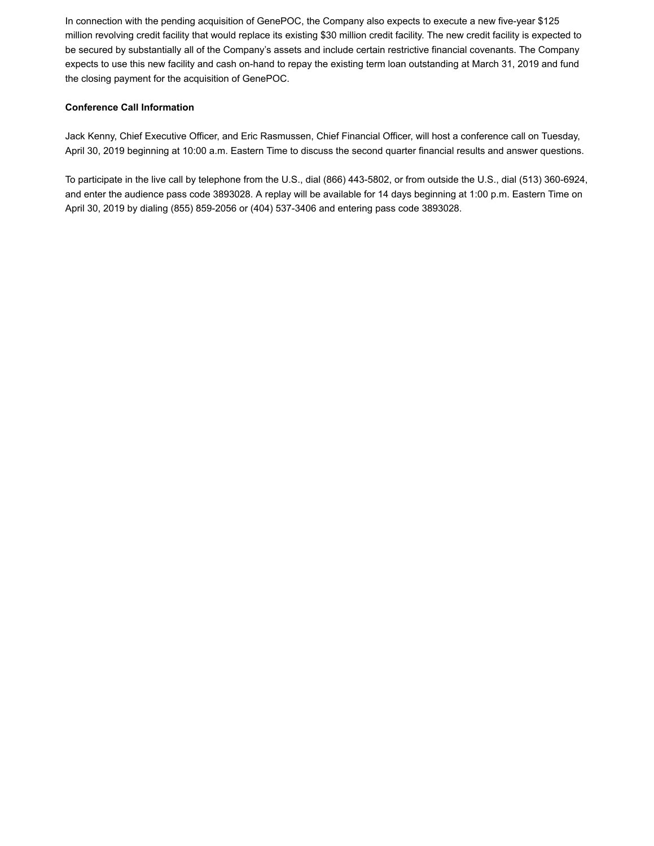In connection with the pending acquisition of GenePOC, the Company also expects to execute a new five-year \$125 million revolving credit facility that would replace its existing \$30 million credit facility. The new credit facility is expected to be secured by substantially all of the Company's assets and include certain restrictive financial covenants. The Company expects to use this new facility and cash on-hand to repay the existing term loan outstanding at March 31, 2019 and fund the closing payment for the acquisition of GenePOC.

### **Conference Call Information**

Jack Kenny, Chief Executive Officer, and Eric Rasmussen, Chief Financial Officer, will host a conference call on Tuesday, April 30, 2019 beginning at 10:00 a.m. Eastern Time to discuss the second quarter financial results and answer questions.

To participate in the live call by telephone from the U.S., dial (866) 443-5802, or from outside the U.S., dial (513) 360-6924, and enter the audience pass code 3893028. A replay will be available for 14 days beginning at 1:00 p.m. Eastern Time on April 30, 2019 by dialing (855) 859-2056 or (404) 537-3406 and entering pass code 3893028.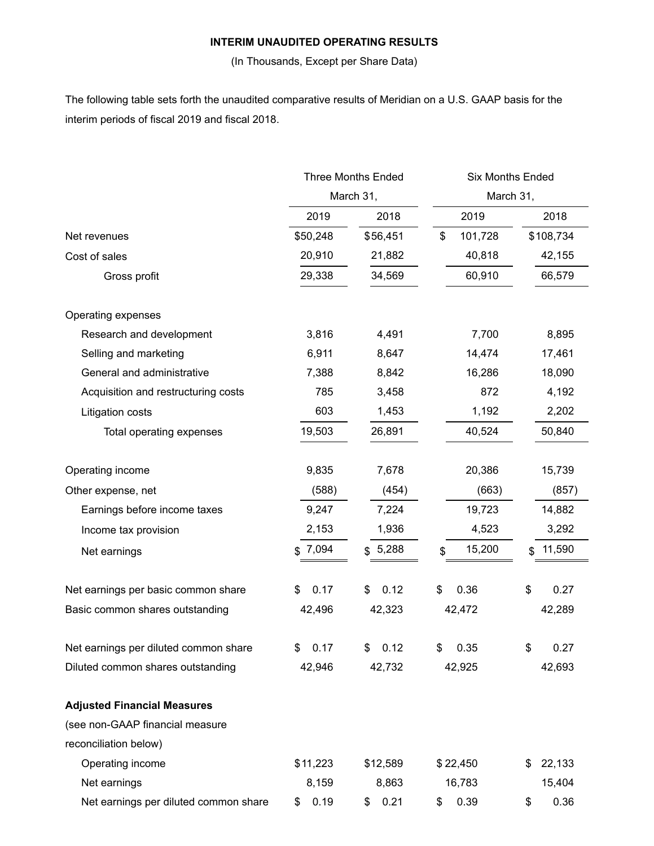# **INTERIM UNAUDITED OPERATING RESULTS**

# (In Thousands, Except per Share Data)

The following table sets forth the unaudited comparative results of Meridian on a U.S. GAAP basis for the interim periods of fiscal 2019 and fiscal 2018.

|                                       | <b>Three Months Ended</b> |             | <b>Six Months Ended</b> |              |  |  |
|---------------------------------------|---------------------------|-------------|-------------------------|--------------|--|--|
|                                       |                           | March 31,   | March 31,               |              |  |  |
|                                       | 2019                      | 2018        | 2019                    | 2018         |  |  |
| Net revenues                          | \$50,248                  | \$56,451    | \$<br>101,728           | \$108,734    |  |  |
| Cost of sales                         | 20,910                    | 21,882      | 40,818                  | 42,155       |  |  |
| Gross profit                          | 29,338                    | 34,569      | 60,910                  | 66,579       |  |  |
| Operating expenses                    |                           |             |                         |              |  |  |
| Research and development              | 3,816                     | 4,491       | 7,700                   | 8,895        |  |  |
| Selling and marketing                 | 6,911                     | 8,647       | 14,474                  | 17,461       |  |  |
| General and administrative            | 7,388                     | 8,842       | 16,286                  | 18,090       |  |  |
| Acquisition and restructuring costs   | 785                       | 3,458       | 872                     | 4,192        |  |  |
| Litigation costs                      | 603                       | 1,453       | 1,192                   | 2,202        |  |  |
| Total operating expenses              | 19,503                    | 26,891      | 40,524                  | 50,840       |  |  |
| Operating income                      | 9,835                     | 7,678       | 20,386                  | 15,739       |  |  |
| Other expense, net                    | (588)                     | (454)       | (663)                   | (857)        |  |  |
| Earnings before income taxes          | 9,247                     | 7,224       | 19,723                  | 14,882       |  |  |
| Income tax provision                  | 2,153                     | 1,936       | 4,523                   | 3,292        |  |  |
| Net earnings                          | 7,094<br>\$.              | 5,288<br>\$ | 15,200<br>\$            | 11,590<br>\$ |  |  |
| Net earnings per basic common share   | 0.17<br>\$                | \$<br>0.12  | \$<br>0.36              | \$<br>0.27   |  |  |
| Basic common shares outstanding       | 42,496                    | 42,323      | 42,472                  | 42,289       |  |  |
| Net earnings per diluted common share | 0.17                      | 0.12        | \$<br>0.35              | \$<br>0.27   |  |  |
| Diluted common shares outstanding     | 42,946                    | 42,732      | 42,925                  | 42,693       |  |  |
| <b>Adjusted Financial Measures</b>    |                           |             |                         |              |  |  |
| (see non-GAAP financial measure       |                           |             |                         |              |  |  |
| reconciliation below)                 |                           |             |                         |              |  |  |
| Operating income                      | \$11,223                  | \$12,589    | \$22,450                | 22,133<br>\$ |  |  |
| Net earnings                          | 8,159                     | 8,863       | 16,783                  | 15,404       |  |  |
| Net earnings per diluted common share | \$0.19                    | \$0.21      | 0.39<br>\$              | 0.36<br>\$   |  |  |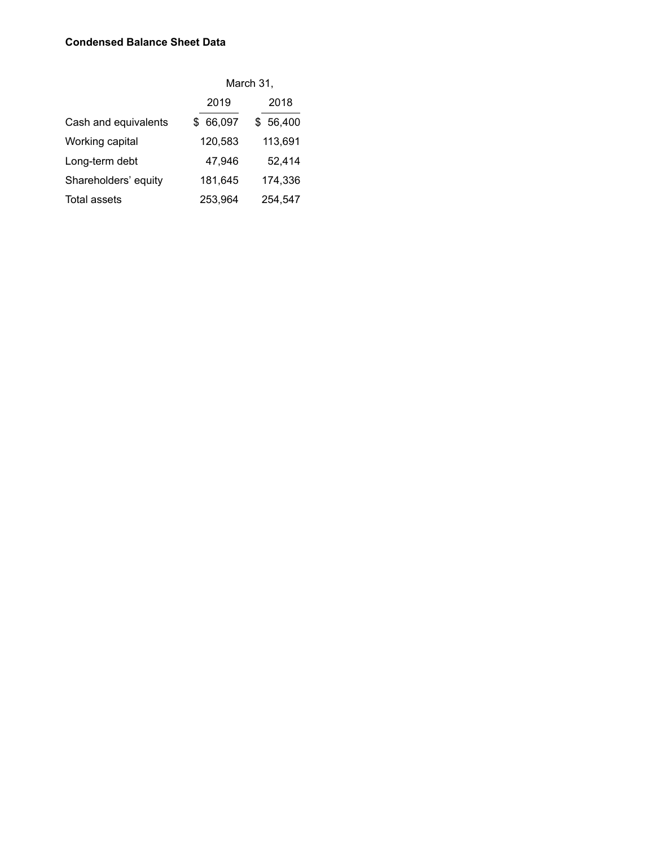# **Condensed Balance Sheet Data**

|                      | March 31, |          |  |
|----------------------|-----------|----------|--|
|                      | 2019      | 2018     |  |
| Cash and equivalents | \$66,097  | \$56,400 |  |
| Working capital      | 120,583   | 113,691  |  |
| Long-term debt       | 47,946    | 52,414   |  |
| Shareholders' equity | 181,645   | 174,336  |  |
| Total assets         | 253,964   | 254,547  |  |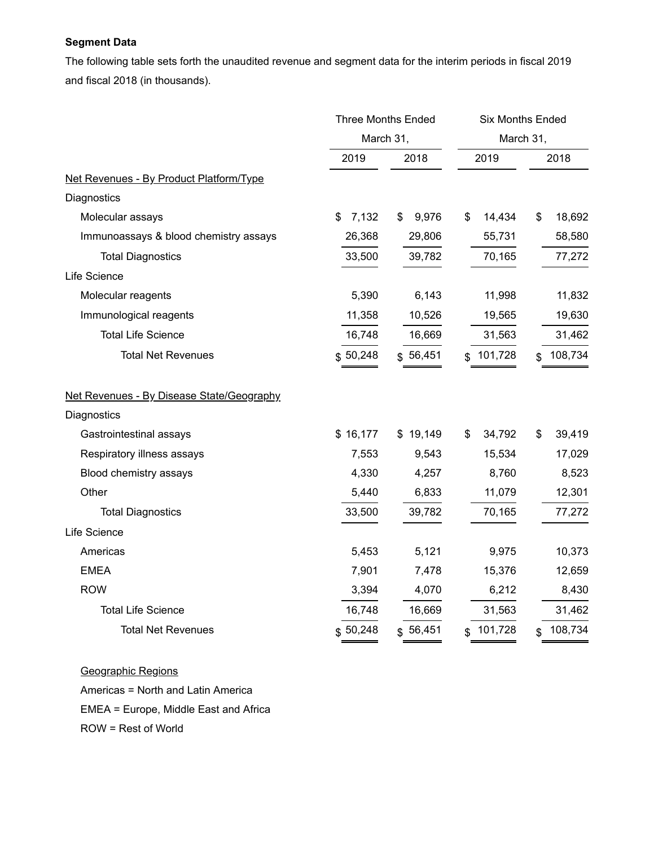# **Segment Data**

The following table sets forth the unaudited revenue and segment data for the interim periods in fiscal 2019 and fiscal 2018 (in thousands).

|                                           | <b>Three Months Ended</b> |             | <b>Six Months Ended</b><br>March 31, |                |  |  |
|-------------------------------------------|---------------------------|-------------|--------------------------------------|----------------|--|--|
|                                           | March 31,                 |             |                                      |                |  |  |
|                                           | 2019                      | 2018        | 2019                                 | 2018           |  |  |
| Net Revenues - By Product Platform/Type   |                           |             |                                      |                |  |  |
| Diagnostics                               |                           |             |                                      |                |  |  |
| Molecular assays                          | 7,132<br>\$               | 9,976<br>\$ | \$<br>14,434                         | 18,692<br>\$   |  |  |
| Immunoassays & blood chemistry assays     | 26,368                    | 29,806      | 55,731                               | 58,580         |  |  |
| <b>Total Diagnostics</b>                  | 33,500                    | 39,782      | 70,165                               | 77,272         |  |  |
| Life Science                              |                           |             |                                      |                |  |  |
| Molecular reagents                        | 5,390                     | 6,143       | 11,998                               | 11,832         |  |  |
| Immunological reagents                    | 11,358                    | 10,526      | 19,565                               | 19,630         |  |  |
| <b>Total Life Science</b>                 | 16,748                    | 16,669      | 31,563                               | 31,462         |  |  |
| <b>Total Net Revenues</b>                 | \$50,248                  | \$56,451    | 101,728<br>ደ                         | 108,734<br>\$. |  |  |
| Net Revenues - By Disease State/Geography |                           |             |                                      |                |  |  |
| Diagnostics                               |                           |             |                                      |                |  |  |
| Gastrointestinal assays                   | \$16,177                  | \$19,149    | \$<br>34,792                         | 39,419<br>\$   |  |  |
| Respiratory illness assays                | 7,553                     | 9,543       | 15,534                               | 17,029         |  |  |
| Blood chemistry assays                    | 4,330                     | 4,257       | 8,760                                | 8,523          |  |  |
| Other                                     | 5,440                     | 6,833       | 11,079                               | 12,301         |  |  |
| <b>Total Diagnostics</b>                  | 33,500                    | 39,782      | 70,165                               | 77,272         |  |  |
| Life Science                              |                           |             |                                      |                |  |  |
| Americas                                  | 5,453                     | 5,121       | 9,975                                | 10,373         |  |  |
| <b>EMEA</b>                               | 7,901                     | 7,478       | 15,376                               | 12,659         |  |  |
| <b>ROW</b>                                | 3,394                     | 4,070       | 6,212                                | 8,430          |  |  |
| <b>Total Life Science</b>                 | 16,748                    | 16,669      | 31,563                               | 31,462         |  |  |
| <b>Total Net Revenues</b>                 | \$50,248                  | \$56,451    | 101,728<br>\$.                       | 108,734<br>\$. |  |  |

Geographic Regions

Americas = North and Latin America EMEA = Europe, Middle East and Africa

ROW = Rest of World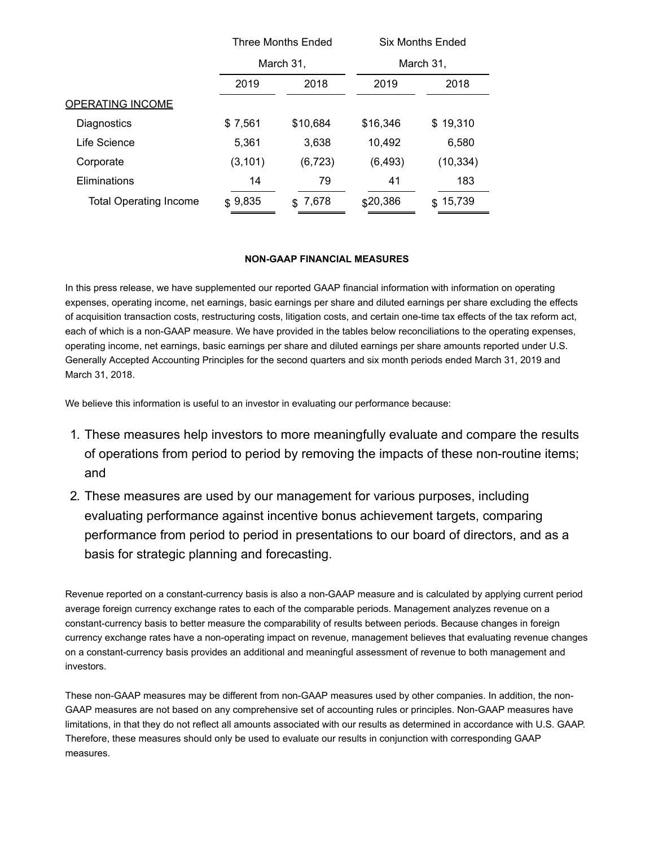|                               |           | <b>Three Months Ended</b> | <b>Six Months Ended</b> |           |  |  |
|-------------------------------|-----------|---------------------------|-------------------------|-----------|--|--|
|                               | March 31, |                           | March 31,               |           |  |  |
|                               | 2019      | 2018                      | 2019                    | 2018      |  |  |
| <b>OPERATING INCOME</b>       |           |                           |                         |           |  |  |
| Diagnostics                   | \$7,561   | \$10,684                  | \$16,346                | \$19,310  |  |  |
| Life Science                  | 5,361     | 3,638                     | 10,492                  | 6,580     |  |  |
| Corporate                     | (3, 101)  | (6, 723)                  | (6, 493)                | (10, 334) |  |  |
| Eliminations                  | 14        | 79                        | 41                      | 183       |  |  |
| <b>Total Operating Income</b> | \$9,835   | 7,678<br>\$               | \$20,386                | \$15,739  |  |  |

#### **NON-GAAP FINANCIAL MEASURES**

In this press release, we have supplemented our reported GAAP financial information with information on operating expenses, operating income, net earnings, basic earnings per share and diluted earnings per share excluding the effects of acquisition transaction costs, restructuring costs, litigation costs, and certain one-time tax effects of the tax reform act, each of which is a non-GAAP measure. We have provided in the tables below reconciliations to the operating expenses, operating income, net earnings, basic earnings per share and diluted earnings per share amounts reported under U.S. Generally Accepted Accounting Principles for the second quarters and six month periods ended March 31, 2019 and March 31, 2018.

We believe this information is useful to an investor in evaluating our performance because:

- 1. These measures help investors to more meaningfully evaluate and compare the results of operations from period to period by removing the impacts of these non-routine items; and
- 2. These measures are used by our management for various purposes, including evaluating performance against incentive bonus achievement targets, comparing performance from period to period in presentations to our board of directors, and as a basis for strategic planning and forecasting.

Revenue reported on a constant-currency basis is also a non-GAAP measure and is calculated by applying current period average foreign currency exchange rates to each of the comparable periods. Management analyzes revenue on a constant-currency basis to better measure the comparability of results between periods. Because changes in foreign currency exchange rates have a non-operating impact on revenue, management believes that evaluating revenue changes on a constant-currency basis provides an additional and meaningful assessment of revenue to both management and investors.

These non-GAAP measures may be different from non-GAAP measures used by other companies. In addition, the non-GAAP measures are not based on any comprehensive set of accounting rules or principles. Non-GAAP measures have limitations, in that they do not reflect all amounts associated with our results as determined in accordance with U.S. GAAP. Therefore, these measures should only be used to evaluate our results in conjunction with corresponding GAAP measures.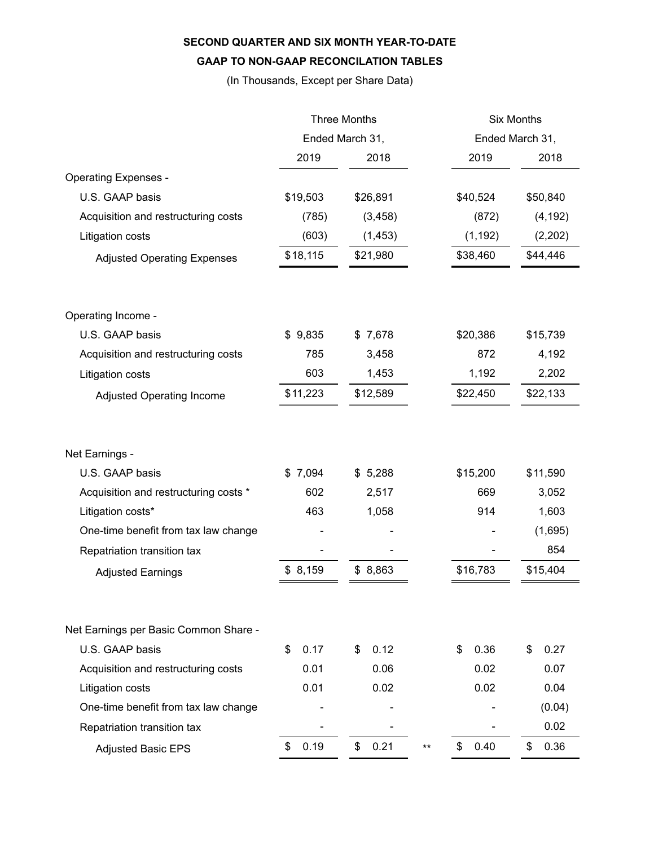# **SECOND QUARTER AND SIX MONTH YEAR-TO-DATE**

# **GAAP TO NON-GAAP RECONCILATION TABLES**

(In Thousands, Except per Share Data)

|                                       | <b>Three Months</b><br>Ended March 31, |            |       | <b>Six Months</b> |                 |  |
|---------------------------------------|----------------------------------------|------------|-------|-------------------|-----------------|--|
|                                       |                                        |            |       |                   | Ended March 31, |  |
|                                       | 2019                                   | 2018       |       | 2019              | 2018            |  |
| <b>Operating Expenses -</b>           |                                        |            |       |                   |                 |  |
| U.S. GAAP basis                       | \$19,503                               | \$26,891   |       | \$40,524          | \$50,840        |  |
| Acquisition and restructuring costs   | (785)                                  | (3, 458)   |       | (872)             | (4, 192)        |  |
| Litigation costs                      | (603)                                  | (1, 453)   |       | (1, 192)          | (2,202)         |  |
| <b>Adjusted Operating Expenses</b>    | \$18,115                               | \$21,980   |       | \$38,460          | \$44,446        |  |
| Operating Income -                    |                                        |            |       |                   |                 |  |
| U.S. GAAP basis                       | \$9,835                                | \$7,678    |       | \$20,386          | \$15,739        |  |
| Acquisition and restructuring costs   | 785                                    | 3,458      |       | 872               | 4,192           |  |
| Litigation costs                      | 603                                    | 1,453      |       | 1,192             | 2,202           |  |
| <b>Adjusted Operating Income</b>      | \$11,223                               | \$12,589   |       | \$22,450          | \$22,133        |  |
| Net Earnings -                        |                                        |            |       |                   |                 |  |
| U.S. GAAP basis                       | \$7,094                                | \$5,288    |       | \$15,200          | \$11,590        |  |
| Acquisition and restructuring costs * | 602                                    | 2,517      |       | 669               | 3,052           |  |
| Litigation costs*                     | 463                                    | 1,058      |       | 914               | 1,603           |  |
| One-time benefit from tax law change  |                                        |            |       |                   | (1,695)         |  |
| Repatriation transition tax           |                                        |            |       |                   | 854             |  |
| <b>Adjusted Earnings</b>              | \$8,159                                | \$8,863    |       | \$16,783          | \$15,404        |  |
| Net Earnings per Basic Common Share - |                                        |            |       |                   |                 |  |
| U.S. GAAP basis                       | 0.17<br>\$                             | 0.12<br>\$ |       | 0.36<br>\$        | 0.27<br>\$      |  |
| Acquisition and restructuring costs   | 0.01                                   | 0.06       |       | 0.02              | 0.07            |  |
| Litigation costs                      | 0.01                                   | 0.02       |       | 0.02              | 0.04            |  |
| One-time benefit from tax law change  |                                        |            |       |                   | (0.04)          |  |
| Repatriation transition tax           | $\qquad \qquad \blacksquare$           | -          |       |                   | 0.02            |  |
| <b>Adjusted Basic EPS</b>             | 0.19<br>\$                             | \$<br>0.21 | $***$ | 0.40<br>\$        | \$<br>0.36      |  |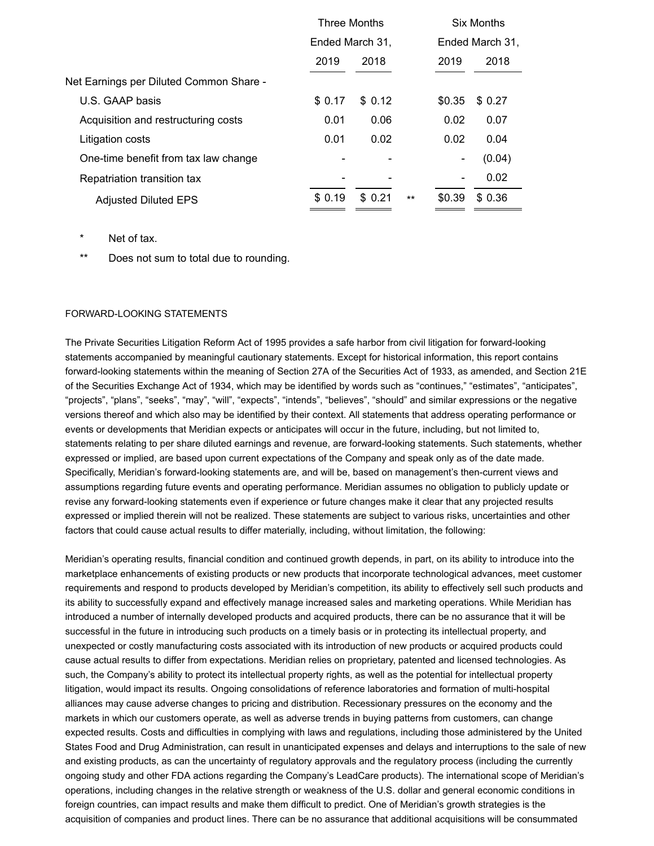|                                         | <b>Three Months</b> |        |       | <b>Six Months</b> |         |  |
|-----------------------------------------|---------------------|--------|-------|-------------------|---------|--|
|                                         | Ended March 31.     |        |       | Ended March 31,   |         |  |
|                                         | 2019                | 2018   |       | 2019              | 2018    |  |
| Net Earnings per Diluted Common Share - |                     |        |       |                   |         |  |
| U.S. GAAP basis                         | \$0.17              | \$0.12 |       | \$0.35            | \$0.27  |  |
| Acquisition and restructuring costs     | 0.01                | 0.06   |       | 0.02              | 0.07    |  |
| Litigation costs                        | 0.01                | 0.02   |       | 0.02              | 0.04    |  |
| One-time benefit from tax law change    |                     |        |       | $\blacksquare$    | (0.04)  |  |
| Repatriation transition tax             |                     |        |       | $\blacksquare$    | 0.02    |  |
| <b>Adjusted Diluted EPS</b>             | \$0.19              | \$0.21 | $***$ | \$0.39            | \$ 0.36 |  |

\* Net of tax.

\*\* Does not sum to total due to rounding.

#### FORWARD-LOOKING STATEMENTS

The Private Securities Litigation Reform Act of 1995 provides a safe harbor from civil litigation for forward-looking statements accompanied by meaningful cautionary statements. Except for historical information, this report contains forward-looking statements within the meaning of Section 27A of the Securities Act of 1933, as amended, and Section 21E of the Securities Exchange Act of 1934, which may be identified by words such as "continues," "estimates", "anticipates", "projects", "plans", "seeks", "may", "will", "expects", "intends", "believes", "should" and similar expressions or the negative versions thereof and which also may be identified by their context. All statements that address operating performance or events or developments that Meridian expects or anticipates will occur in the future, including, but not limited to, statements relating to per share diluted earnings and revenue, are forward-looking statements. Such statements, whether expressed or implied, are based upon current expectations of the Company and speak only as of the date made. Specifically, Meridian's forward-looking statements are, and will be, based on management's then-current views and assumptions regarding future events and operating performance. Meridian assumes no obligation to publicly update or revise any forward-looking statements even if experience or future changes make it clear that any projected results expressed or implied therein will not be realized. These statements are subject to various risks, uncertainties and other factors that could cause actual results to differ materially, including, without limitation, the following:

Meridian's operating results, financial condition and continued growth depends, in part, on its ability to introduce into the marketplace enhancements of existing products or new products that incorporate technological advances, meet customer requirements and respond to products developed by Meridian's competition, its ability to effectively sell such products and its ability to successfully expand and effectively manage increased sales and marketing operations. While Meridian has introduced a number of internally developed products and acquired products, there can be no assurance that it will be successful in the future in introducing such products on a timely basis or in protecting its intellectual property, and unexpected or costly manufacturing costs associated with its introduction of new products or acquired products could cause actual results to differ from expectations. Meridian relies on proprietary, patented and licensed technologies. As such, the Company's ability to protect its intellectual property rights, as well as the potential for intellectual property litigation, would impact its results. Ongoing consolidations of reference laboratories and formation of multi-hospital alliances may cause adverse changes to pricing and distribution. Recessionary pressures on the economy and the markets in which our customers operate, as well as adverse trends in buying patterns from customers, can change expected results. Costs and difficulties in complying with laws and regulations, including those administered by the United States Food and Drug Administration, can result in unanticipated expenses and delays and interruptions to the sale of new and existing products, as can the uncertainty of regulatory approvals and the regulatory process (including the currently ongoing study and other FDA actions regarding the Company's LeadCare products). The international scope of Meridian's operations, including changes in the relative strength or weakness of the U.S. dollar and general economic conditions in foreign countries, can impact results and make them difficult to predict. One of Meridian's growth strategies is the acquisition of companies and product lines. There can be no assurance that additional acquisitions will be consummated